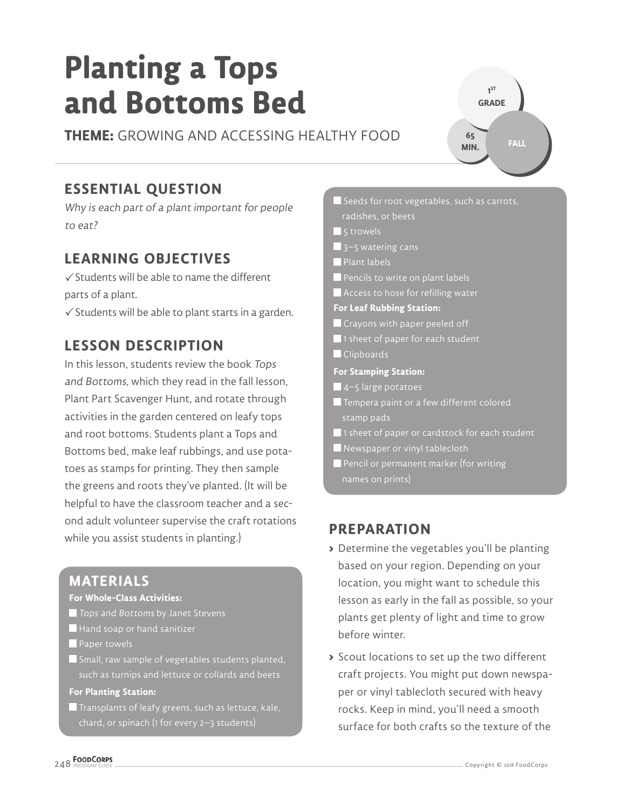# **Planting a Tops and Bottoms Bed**

**THEME:** GROWING AND ACCESSING HEALTHY FOOD

# **ESSENTIAL QUESTION**

Why is each part of a plant important for people to eat?

## **LEARNING OBJECTIVES**

 $\checkmark$  Students will be able to name the different parts of a plant.

 $\checkmark$  Students will be able to plant starts in a garden.

## **LESSON DESCRIPTION**

In this lesson, students review the book Tops and Bottoms, which they read in the fall lesson, Plant Part Scavenger Hunt, and rotate through activities in the garden centered on leafy tops and root bottoms. Students plant a Tops and Bottoms bed, make leaf rubbings, and use potatoes as stamps for printing. They then sample the greens and roots they've planted. (It will be helpful to have the classroom teacher and a second adult volunteer supervise the craft rotations while you assist students in planting.)

#### **MATERIALS**

#### **For Whole-Class Activities:**

- Tops and Bottoms by Janet Stevens
- Hand soap or hand sanitizer
- **Paper towels**
- **S** Small, raw sample of vegetables students planted, such as turnips and lettuce or collards and beets

#### **For Planting Station:**

 $\blacksquare$  Transplants of leafy greens, such as lettuce, kale,

 $\blacksquare$  Seeds for root vegetables, such as carrots, radishes, or beets **5** trowels  $\blacksquare$  3–5 watering cans Plant labels Pencils to write on plant labels **Access to hose for refilling water For Leaf Rubbing Station:** Crayons with paper peeled off **1** 1 sheet of paper for each student **Clipboards For Stamping Station:**  $\blacksquare$  4–5 large potatoes Tempera paint or a few different colored stamp pads  $\blacksquare$  1 sheet of paper or cardstock for each student Newspaper or vinyl tablecloth **Pencil or permanent marker (for writing** 

**1 ST GRADE** 

**65 MIN.**

**FALL**

#### **PREPARATION**

- **>** Determine the vegetables you'll be planting based on your region. Depending on your location, you might want to schedule this lesson as early in the fall as possible, so your plants get plenty of light and time to grow before winter.
- **>** Scout locations to set up the two different craft projects. You might put down newspaper or vinyl tablecloth secured with heavy rocks. Keep in mind, you'll need a smooth surface for both crafts so the texture of the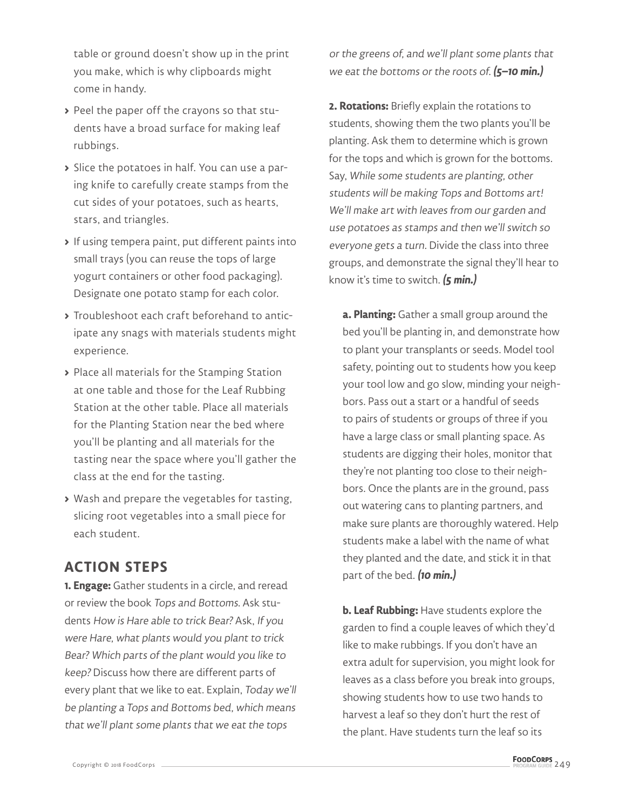table or ground doesn't show up in the print you make, which is why clipboards might come in handy.

- **>** Peel the paper off the crayons so that students have a broad surface for making leaf rubbings.
- **>** Slice the potatoes in half. You can use a paring knife to carefully create stamps from the cut sides of your potatoes, such as hearts, stars, and triangles.
- **>** If using tempera paint, put different paints into small trays (you can reuse the tops of large yogurt containers or other food packaging). Designate one potato stamp for each color.
- **>** Troubleshoot each craft beforehand to anticipate any snags with materials students might experience.
- **>** Place all materials for the Stamping Station at one table and those for the Leaf Rubbing Station at the other table. Place all materials for the Planting Station near the bed where you'll be planting and all materials for the tasting near the space where you'll gather the class at the end for the tasting.
- **>** Wash and prepare the vegetables for tasting, slicing root vegetables into a small piece for each student.

### **ACTION STEPS**

**1. Engage:** Gather students in a circle, and reread or review the book Tops and Bottoms. Ask students How is Hare able to trick Bear? Ask, If you were Hare, what plants would you plant to trick Bear? Which parts of the plant would you like to keep? Discuss how there are different parts of every plant that we like to eat. Explain, Today we'll be planting a Tops and Bottoms bed, which means that we'll plant some plants that we eat the tops

or the greens of, and we'll plant some plants that we eat the bottoms or the roots of. **(5–10 min.)**

**2. Rotations:** Briefly explain the rotations to students, showing them the two plants you'll be planting. Ask them to determine which is grown for the tops and which is grown for the bottoms. Say, While some students are planting, other students will be making Tops and Bottoms art! We'll make art with leaves from our garden and use potatoes as stamps and then we'll switch so everyone gets a turn. Divide the class into three groups, and demonstrate the signal they'll hear to know it's time to switch. **(5 min.)**

**a. Planting:** Gather a small group around the bed you'll be planting in, and demonstrate how to plant your transplants or seeds. Model tool safety, pointing out to students how you keep your tool low and go slow, minding your neighbors. Pass out a start or a handful of seeds to pairs of students or groups of three if you have a large class or small planting space. As students are digging their holes, monitor that they're not planting too close to their neighbors. Once the plants are in the ground, pass out watering cans to planting partners, and make sure plants are thoroughly watered. Help students make a label with the name of what they planted and the date, and stick it in that part of the bed. **(10 min.)**

**b. Leaf Rubbing:** Have students explore the garden to find a couple leaves of which they'd like to make rubbings. If you don't have an extra adult for supervision, you might look for leaves as a class before you break into groups, showing students how to use two hands to harvest a leaf so they don't hurt the rest of the plant. Have students turn the leaf so its